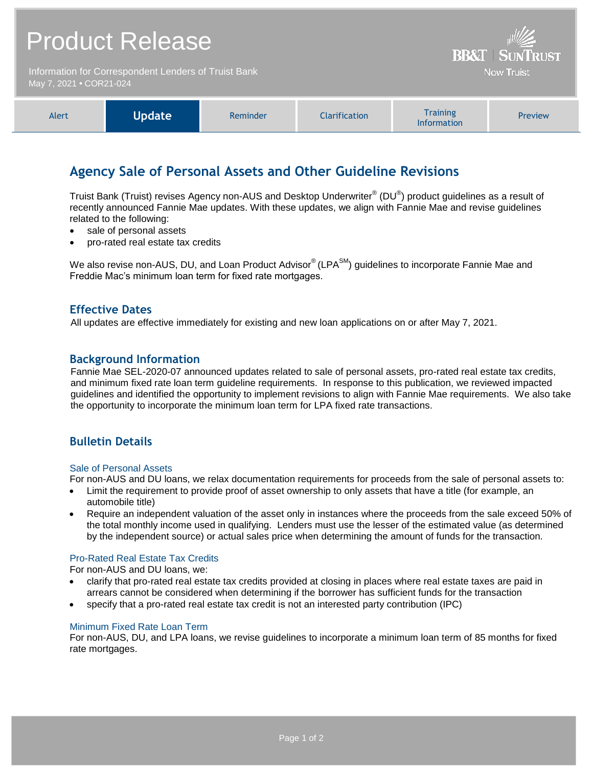# Product Release **BB&T** Information for Correspondent Lenders of Truist Bank **Now Truist** May 7, 2021 **•** COR21-024 **Training** Alert **Update** Reminder Clarification Preview

# **Agency Sale of Personal Assets and Other Guideline Revisions**

Truist Bank (Truist) revises Agency non-AUS and Desktop Underwriter® (DU®) product guidelines as a result of recently announced Fannie Mae updates. With these updates, we align with Fannie Mae and revise guidelines related to the following:

Information

- sale of personal assets
- pro-rated real estate tax credits

We also revise non-AUS, DU, and Loan Product Advisor® (LPA<sup>SM</sup>) guidelines to incorporate Fannie Mae and Freddie Mac's minimum loan term for fixed rate mortgages.

## **Effective Dates**

All updates are effective immediately for existing and new loan applications on or after May 7, 2021.

## **Background Information**

Fannie Mae SEL-2020-07 announced updates related to sale of personal assets, pro-rated real estate tax credits, and minimum fixed rate loan term guideline requirements. In response to this publication, we reviewed impacted guidelines and identified the opportunity to implement revisions to align with Fannie Mae requirements. We also take the opportunity to incorporate the minimum loan term for LPA fixed rate transactions.

# **Bulletin Details**

#### Sale of Personal Assets

For non-AUS and DU loans, we relax documentation requirements for proceeds from the sale of personal assets to:

- Limit the requirement to provide proof of asset ownership to only assets that have a title (for example, an automobile title)
- Require an independent valuation of the asset only in instances where the proceeds from the sale exceed 50% of the total monthly income used in qualifying. Lenders must use the lesser of the estimated value (as determined by the independent source) or actual sales price when determining the amount of funds for the transaction.

#### Pro-Rated Real Estate Tax Credits

For non-AUS and DU loans, we:

- clarify that pro-rated real estate tax credits provided at closing in places where real estate taxes are paid in arrears cannot be considered when determining if the borrower has sufficient funds for the transaction
- specify that a pro-rated real estate tax credit is not an interested party contribution (IPC)

#### Minimum Fixed Rate Loan Term

For non-AUS, DU, and LPA loans, we revise guidelines to incorporate a minimum loan term of 85 months for fixed rate mortgages.